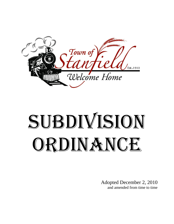

# Subdivision ORDINANCE

Adopted December 2, 2010 and amended from time to time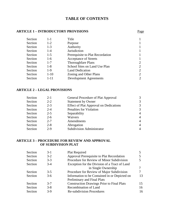## **TABLE OF CONTENTS**

## **ARTICLE 1 – INTRODUCTORY PROVISIONS** Page

| Section | $1 - 1$  | Title                            |   |
|---------|----------|----------------------------------|---|
| Section | $1-2$    | Purpose                          |   |
| Section | $1 - 3$  | Authority                        |   |
| Section | $1 - 4$  | Jurisdiction                     |   |
| Section | $1-5$    | Prerequisite to Plat Recordation |   |
| Section | $1-6$    | <b>Acceptance of Streets</b>     |   |
| Section | $1 - 7$  | <b>Thoroughfare Plans</b>        | 2 |
| Section | $1 - 8$  | School Sites on Land Use Plan    | 2 |
| Section | $1-9$    | <b>Land Dedication</b>           | 2 |
| Section | $1-10$   | Zoning and Other Plans           | 2 |
| Section | $1 - 11$ | <b>Development Agreements</b>    | 2 |

#### **ARTICLE 2 – LEGAL PROVISIONS**

| Section | $2 - 1$ | General Procedure of Plat Approval            |   |
|---------|---------|-----------------------------------------------|---|
| Section | $2 - 2$ | <b>Statement by Owner</b>                     |   |
| Section | $2 - 3$ | <b>Effect of Plat Approval on Dedications</b> |   |
| Section | $2 - 4$ | Penalties for Violation                       |   |
| Section | $2 - 5$ | Separability                                  | 4 |
| Section | $2-6$   | Waivers                                       | 4 |
| Section | $2 - 7$ | Amendments                                    |   |
| Section | $2 - 8$ | Abrogation                                    |   |
| Section | $2 - 9$ | <b>Subdivision Administrator</b>              |   |

## **ARTICLE 3 – PROCEDURE FOR REVIEW AND APPROVAL OF SUBDIVISION PLAT**

| Section | $3-1$   | Plat Required                                     |    |
|---------|---------|---------------------------------------------------|----|
| Section | $3-2$   | Approval Prerequisite to Plat Recordation         |    |
| Section | $3 - 3$ | Procedure for Review of Minor Subdivision         |    |
| Section | $3-4$   | Exception for the Division of a Tract of Land     |    |
|         |         | in Single Ownership                               |    |
| Section | $3-5$   | Procedure for Review of Major Subdivision         |    |
| Section | $3-6$   | Information to be Contained in or Depicted on     | 13 |
|         |         | Preliminary and Final Plats                       |    |
| Section | $3 - 7$ | <b>Construction Drawings Prior to Final Plats</b> | 15 |
| Section | $3 - 8$ | Recombination of Land                             | 16 |
| Section | $3-9$   | <b>Re-subdivision Procedures</b>                  | 16 |
|         |         |                                                   |    |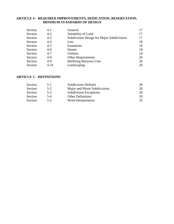#### **ARTICLE 4 – REQUIRED IMPROVEMENTS, DEDICATION, RESERVATION, MINIMUM STANDARDS OF DESIGN**

| Section | $4-1$    | General                                   | 17 |
|---------|----------|-------------------------------------------|----|
| Section | $4 - 2$  | Suitability of Land                       | 17 |
| Section | $4 - 3$  | Subdivision Design for Major Subdivisions | 17 |
| Section | $4 - 4$  | Lots                                      | 18 |
| Section | $4 - 5$  | Easements                                 | 18 |
| Section | $4-6$    | <b>Streets</b>                            | 18 |
| Section | $4 - 7$  | <b>Utilities</b>                          | 24 |
| Section | $4 - 8$  | <b>Other Requirements</b>                 | 26 |
| Section | $4-9$    | <b>Buffering Between Uses</b>             | 26 |
| Section | $4 - 10$ | Landscaping                               | 26 |

# **ARTICLE 5 – DEFINITIONS**

| Section | $5 - 1$ | <b>Subdivision Defined</b>    | 28 |
|---------|---------|-------------------------------|----|
| Section | $5-2$   | Major and Minor Subdivisions  | 28 |
| Section | $5-3$   | <b>Subdivision Exceptions</b> | 28 |
| Section | $5 - 4$ | <b>Other Definitions</b>      | 29 |
| Section | $5 - 5$ | Word Interpretation           | 32 |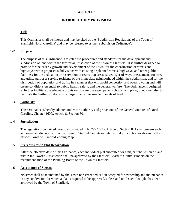## **ARTICLE 1**

## **INTRODUCTORY PROVISIONS**

## **1-1 Title**

This Ordinance shall be known and may be cited as the 'Subdivision Regulations of the Town of Stanfield, North Carolina' and may be referred to as the 'Subdivision Ordinance'.

## **1-2 Purpose**

The purpose of this Ordinance is to establish procedures and standards for the development and subdivision of land within the territorial jurisdiction of the Town of Stanfield. It is further designed to provide for the orderly growth and development of the Town; for the coordination of streets and highways within proposed subdivisions with existing or planned streets, highways, and other public facilities; for the dedication or reservation of recreation areas, street right-of-way, or easements for street and utility purposes serving residents of the immediate neighborhood within the subdivision; and for the distribution of population and traffic in a manner that will avoid congestion and overcrowding and will create conditions essential to public health, safety, and the general welfare. The Ordinance is designed to further facilitate the adequate provision of water, sewage, parks, schools, and playgrounds and also to facilitate the further subdivision of larger tracts into smaller parcels of land.

## **1-3 Authority**

This Ordinance is hereby adopted under the authority and provisions of the General Statutes of North Carolina, Chapter 160D, Article 8, Section 801.

## **1-4 Jurisdiction**

The regulations contained herein, as provided in NCGS 160D, Article 8, Section 801 shall govern each and every subdivision within the Town of Stanfield and its extraterritorial jurisdiction as shown on the official Town of Stanfield Zoning Map.

#### **1-5 Prerequisites to Plat Recordation**

After the effective date of this Ordinance, each individual plat submitted for a major subdivision of land within the Town's Jurisdiction shall be approved by the Stanfield Board of Commissioners on the recommendation of the Planning Board of the Town of Stanfield.

#### **1-6 Acceptance of Streets**

No street shall be maintained by the Town nor street dedication accepted for ownership and maintenance in any subdivision for which a plat is required to be approved, unless and until such final plat has been approved by the Town of Stanfield.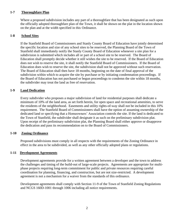## **1-7 Thoroughfare Plan**

Where a proposed subdivision includes any part of a thoroughfare that has been designated as such upon the officially adopted thoroughfare plan of the Town, it shall be shown on the plat in the location shown on the plan and at the width specified in this Ordinance.

## **1-8 School Sites**

If the Stanfield Board of Commissioners and Stanly County Board of Education have jointly determined the specific location and size of any school sites to be reserved, the Planning Board of the Town of Stanfield shall immediately notify the Stanly County Board of Education whenever a site plan for a subdivision is submitted which includes all or part of a school site to be reserved. The Board of Education shall promptly decide whether it still wishes the site to be reserved. If the Board of Education does not wish to reserve the site, it shall notify the Stanfield Board of Commissioners. If the Board of Education does wish to reserve the site, the subdivision shall not be approved without such reservation. The Board of Education shall then have 18 months, beginning on the date of final approval of the subdivision within which to acquire the site by purchase or by initiating condemnation proceedings. If the Board of Education has not purchased or begun proceedings to condemn the site within 18 months, the subdivider may treat the land as free of reservation.

## **1-9 Land Dedication**

Every subdivider who proposes a major subdivision of land for residential purposes shall dedicate a minimum of 10% of the land area, as set forth herein, for open space and recreational amenities, to serve the residents of the neighborhood. Easements and utility rights-of-way shall not be included in this 10% requirement. The Stanfield Board of Commissioners shall have the option of assuming ownership of the dedicated land or specifying that a Homeowners' Association controls the site. If the land is dedicated to the Town of Stanfield, the subdivider shall designate it as such on the preliminary subdivision plat. Upon receipt of the preliminary subdivision plat, the Planning Board shall either approve or disapprove the dedication and pass its recommendation on to the Board of Commissioners.

## **1-10 Zoning Ordinance**

Proposed subdivisions must comply in all respects with the requirements of the Zoning Ordinance in effect in the area to be subdivided, as well as any other officially adopted plans or regulations.

## **1-11 Development Agreements**

Development agreements provide for a written agreement between a developer and the town to address the challenges and timing of the build-out of large-scale projects. Agreements are appropriate for multiphase projects requiring long-term commitment for public and private resources requiring careful coordination for planning, financing, and construction, but are not size-restricted. A development agreement is not a mechanism for a waiver from the standards of this ordinance.

Development agreements shall comply with Section 11-9 of the Town of Stanfield Zoning Regulations and NCGS 160D-1001 through 1006 including all notice requirements.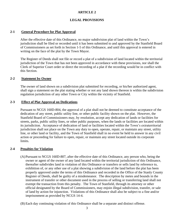## **ARTICLE 2**

## **LEGAL PROVISIONS**

## **2-1 General Procedure for Plat Approval**

After the effective date of this Ordinance, no major subdivision plat of land within the Town's jurisdiction shall be filed or recorded until it has been submitted to and approved by the Stanfield Board of Commissioners as set forth in Section 1-5 of this Ordinance, and until this approval is entered in writing on the face of the plat by the Town Mayor.

The Register of Deeds shall not file or record a plat of a subdivision of land located within the territorial jurisdiction of the Town that has not been approved in accordance with these provisions, nor shall the Clerk of Superior Court order or direct the recording of a plat if the recording would be in conflict with this Section.

#### **2-2 Statement by Owner**

The owner of land shown on a subdivision plat submitted for recording, or his/her authorized agent, shall sign a statement on the plat stating whether or not any land shown thereon is within the subdivision regulation jurisdiction of any other Town or City within the vicinity of Stanfield.

#### **2-3 Effect of Plat Approval on Dedications**

Pursuant to NCGS 160D-804, the approval of a plat shall not be deemed to constitute acceptance of the dedication of any street, public utility line, or other public facility shown on the plat. However, the Stanfield Board of Commissioners may, by resolution, accept any dedication of lands or facilities for streets, parks, public utility lines, or other public purposes, when the lands or facilities are located within its jurisdiction. Acceptance of dedication of land or facilities located within the Town's extraterritorial jurisdiction shall not place on the Town any duty to open, operate, repair, or maintain any street, utility line, or other land or facility, and the Town of Stanfield shall in no event be held to answer in any civil action or proceeding for failure to open, repair, or maintain any street located outside its corporate limits.

#### **2-4 Penalties for Violation**

- (A)Pursuant to NCGS 160D-807, after the effective date of this Ordinance, any person who, being the owner or agent of the owner of any land located within the territorial jurisdiction of this Ordinance, thereafter subdivides land in violation of this Ordinance or transfers or sells land by reference to, exhibition of, or any other use of a plat showing a subdivision of the land before the plat has been properly approved under the terms of this Ordinance and recorded in the Office of the Stanly County Register of Deeds, shall be guilty of a misdemeanor. The description by metes and bounds in the instrument of transfer or other document used in the process of selling or transferring land shall not exempt the transaction from this penalty. The Town of Stanfield, through its attorney or other official designated by the Board of Commissioners, may enjoin illegal subdivision, transfer, or sale of land by action for injunction. Violations of this Ordinance shall also be subject to a fine and/or imprisonment as provided by NCGS 14-4.
- (B) Each day continuing violation of this Ordinance shall be a separate and distinct offense.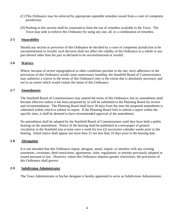- (C) This Ordinance may be enforced by appropriate equitable remedies issued from a court of competent jurisdiction.
- (D)Nothing in this section shall be construed to limit the use of remedies available to the Town. The Town may seek to enforce this Ordinance by using any one, all, or a combination of remedies.

## **2-5 Separability**

Should any section or provision of this Ordinance be decided by a court of competent jurisdiction to be unconstitutional or invalid, such decision shall not affect the validity of the Ordinance as a whole or any part thereof other than the part so declared to be unconstitutional or invalid.

## **2-6 Waivers**

Where, because of severe topographical or other conditions peculiar to the site, strict adherence to the provisions of this Ordinance would cause unnecessary hardship, the Stanfield Board of Commissioners may authorize a waiver to the terms of this Ordinance only to the extent that is absolutely necessary and not to an extent which would violate the intent of this Ordinance.

## **2-7 Amendments**

The Stanfield Board of Commissioners may amend the terms of this Ordinance, but no amendment shall become effective unless it has been proposed by or will be submitted to the Planning Board for review and recommendation. The Planning Board shall have 30 days from the time the proposed amendment is submitted within which to submit its report. If the Planning Board fails to submit a report within the specific time, it shall be deemed to have recommended approval of the amendment.

No amendment shall be adopted by the Stanfield Board of Commissioners until they have held a public hearing on the amendment. Notice of the hearing shall be published in a newspaper of general circulation in the Stanfield area at least once a week for two (2) successive calendar weeks prior to the hearing. Initial notice shall appear not more than 25 nor less than 10 days prior to the hearing date.

## **2-8 Abrogation**

It is not intended that this Ordinance repeal, abrogate, annul, impair, or interfere with any existing easements, covenants, deed restrictions, agreements, rules, regulations, or permits previously adopted or issued pursuant to law. However, where this Ordinance imposes greater restrictions, the provisions of this Ordinance shall govern.

## **2-9 Subdivision Administrator**

The Town Administrator or his/her designee is hereby appointed to serve as Subdivision Administrator.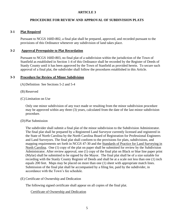## **ARTICLE 3**

## **PROCEDURE FOR REVIEW AND APPROVAL OF SUBDIVISION PLATS**

## **3-1 Plat Required**

Pursuant to NCGS 160D-802, a final plat shall be prepared, approved, and recorded pursuant to the provisions of this Ordinance whenever any subdivision of land takes place.

## **3-2 Approval Prerequisite to Plat Recordation**

Pursuant to NCGS 160D-803, no final plat of a subdivision within the jurisdiction of the Town of Stanfield as established in Section 1-4 of this Ordinance shall be recorded by the Register of Deeds of Stanly County until it has been approved by the Town of Stanfield as provided herein. To secure such approval of a final plat, the subdivider shall follow the procedures established in this Article.

## **3-3 Procedure for Review of Minor Subdivision**

- (A)Definition See Sections 5-2 and 5-4
- (B) Reserved
- (C) Limitation on Use

Only one minor subdivision of any tract made or resulting from the minor subdivision procedure may be approved within any three (3) years, calculated from the date of the last minor subdivision procedure.

(D)Plat Submission

The subdivider shall submit a final plat of the minor subdivision to the Subdivision Administrator. The final plat shall be prepared by a Registered Land Surveyor currently licensed and registered in the State of North Carolina by the North Carolina Board of Registration for Professional Engineers and Land Surveyors. The final plat shall conform to the provisions for plats, subdivisions, and mapping requirements set forth in NCGS 47-30 and the Standards of Practice for Land Surveying in North Carolina. One (1) copy of the plat on paper shall be submitted for review by the Subdivision Administrator. After review approval, one (1) copy of the final plat on Black or blue line paper print (Mylar) shall be submitted to be signed by the Mayor. The final plat shall be of a size suitable for recording with the Stanly County Register of Deeds and shall be at a scale not less than one (1) inch equals 200 feet. Maps may be placed on more than one (1) sheet with appropriate match lines. Submission of the final plat shall be accompanied by a filing fee, paid by the subdivider, in accordance with the Town's fee schedule.

(E) Certificate of Ownership and Dedication

The following signed certificate shall appear on all copies of the final plat.

Certificate of Ownership and Dedication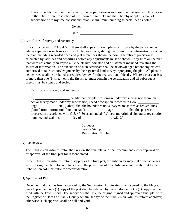I hereby certify that I am the owner of the property shown and described hereon, which is located in the subdivision jurisdiction of the Town of Stanfield and that I hereby adopt this plan of subdivision with my free consent and establish minimum building setback lines as noted.

Owner and the contract of the contract of the contract of the contract of the contract of the contract of the contract of the contract of the contract of the contract of the contract of the contract of the contract of the

Date

## (F) Certificate of Survey and Accuracy

In accordance with NCGS 47-30, there shall appear on each plat a certificate by the person under whose supervision such survey or such plat was made, stating the origin of the information shown on the plat, including recorded deed and plat references shown thereon. The ratio of precision as calculated by latitudes and departures before any adjustments must be shown. Any lines on the plat that were not actually surveyed must be clearly indicated and a statement included revealing the source of information. The execution of such certificate shall be acknowledged before any officer authorized to take acknowledgments by the registered land surveyor preparing the plat. All plats to be recorded shall be probated as required by law for the registration of deeds. Where a plat consists of more than one (1) sheet, only the first sheet must contain the certification and all subsequent sheets must be signed and sealed.

## Certificate of Survey and Accuracy

"I, \_\_\_\_\_\_\_\_\_\_\_\_\_\_\_\_\_\_\_\_, certify that this plat was drawn under my supervision from (an actual survey made under my supervision) (deed description recorded in Book Page \_\_\_\_\_\_\_\_\_, etc.)(Other); that the boundaries not surveyed are shown as broken lines plotted from information found in Book \_\_\_\_\_\_\_\_\_\_\_, Page \_\_\_\_\_\_\_\_; that this plat was prepared in accordance with G.S. 47-30 as amended. Witness my original signature, registration number, and seal this \_\_\_\_\_\_\_day of \_\_\_\_\_\_\_\_\_\_\_\_\_\_\_\_\_, A.D. 20 \_\_\_\_\_\_\_\_\_\_

| Surveyor                   |  |
|----------------------------|--|
| Seal or Stamp              |  |
| <b>Registration Number</b> |  |

#### (G)Plat Review

The Subdivision Administrator shall review the final plat and shall recommend either approval or disapproval of the final plat for reasons stated.

If the Subdivision Administrator disapproves the final plat, the subdivider may make such changes as will bring the plat into compliance with the provisions of this Ordinance and resubmit it to the Subdivision Administrator for reconsideration.

## (H)Approval of Plat

Once the final plat has been approved by the Subdivision Administrator and signed by the Mayor, one (1) print and one (1) copy of the plat shall be retained by the subdivider. One (1) copy shall be filed with the Town Clerk. The subdivider shall file the original signed and approved final plat with the Register of Deeds of Stanly County within 60 days of the Subdivision Administrator's approval; otherwise, such approval shall be null and void.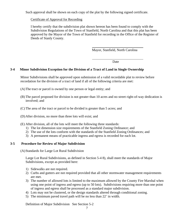Such approval shall be shown on each copy of the plat by the following signed certificate.

## Certificate of Approval for Recording

I hereby certify that the subdivision plat shown hereon has been found to comply with the Subdivision Regulations of the Town of Stanfield, North Carolina and that this plat has been approved by the Mayor of the Town of Stanfield for recording in the Office of the Register of Deeds of Stanly County.

Mayor, Stanfield, North Carolina

**Date** 

#### **3-4 Minor Subdivision Exception for the Division of a Tract of Land in Single Ownership**

Minor Subdivisions shall be approved upon submission of a valid recordable plat to review before recordation for the division of a tract of land if all of the following criteria are met:

- (A)The tract or parcel is owned by one person or legal entity; and
- (B) The parcel proposed for division is not greater than 10 acres and no street right-of-way dedication is involved; and
- (C) The area of the tract or parcel to be divided is greater than 5 acres; and
- (D)After division, no more than three lots will exist; and
- (E) After division, all of the lots will meet the following three standards:
	- 1) The lot dimension size requirements of the Stanfield Zoning Ordinance; and
	- 2) The use of the lots conform with the standards of the Stanfield Zoning Ordinances; and
	- 3) A permanent means of practicable ingress and egress is recorded for each lot.

#### **3-5 Procedure for Review of Major Subdivision**

(A)Standards for Large Lot Rural Subdivision

Large Lot Rural Subdivisions, as defined in Section 5-4 8), shall meet the standards of Major Subdivisions, except as provided here:

- 1) Sidewalks are not required.
- 2) Curbs and gutters are not required provided that all other stormwater management requirements are met.
- 3) The number of allowed lots is limited to the maximum allowed by the County Fire Marshal when using one point of ingress and egress (up to 50 lots). Subdivisions requiring more than one point of ingress and egress shall be processed as a standard major subdivision.
- 4) Lots may not be clustered, or the design standards altered through conditional zoning.
- 5) The minimum paved travel path will be no less than 22' in width.

Definition of Major Subdivision See Section 5-2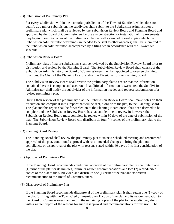#### (B) Submission of Preliminary Plat

For every subdivision within the territorial jurisdiction of the Town of Stanfield, which does not qualify as a minor subdivision, the subdivider shall submit to the Subdivision Administrator a preliminary plat which shall be reviewed by the Subdivision Review Board and Planning Board and approved by the Board of Commissioners before any construction or installation of improvements may begin. Four (4) copies of the preliminary plat (as well as any additional copies which the Subdivision Administrator determines are needed to be sent to other agencies) shall be submitted to the Subdivision Administrator, accompanied by a filing fee in accordance with the Town's fee schedule.

#### (C) Subdivision Review Board

Preliminary plats of major subdivisions shall be reviewed by the Subdivision Review Board prior to distribution and review by the Planning Board. The Subdivision Review Board shall consist of the Subdivision Administrator, the Board of Commissioners member appointed to oversee planning functions, the Chair of the Planning Board, and/or the Vice-Chair of the Planning Board.

The Subdivision Review Board shall review the preliminary plat to ensure that the information contained therein is complete and accurate. If additional information is warranted, the Subdivision Administrator shall notify the subdivider of the information needed and request resubmission of a revised preliminary plat.

During their review of the preliminary plat, the Subdivision Review Board shall make notes on their discussion and compile it into a report that will be sent, along with the plat, to the Planning Board. The plat and this report shall be forwarded on to the Planning Board once it has been deemed to be complete and the Subdivision Review Board has had ample time to review it; however, the Subdivision Review Board must complete its review within 30 days of the date of submission of the plat. The Subdivision Review Board will distribute all four (4) copies of the preliminary plat to the Planning Board.

#### (D)Planning Board Review

The Planning Board shall review the preliminary plat at its next scheduled meeting and recommend approval of the plat, conditional approval with recommended changes to bring the plat into compliance, or disapproval of the plat with reasons stated within 40 days of its first consideration of the plat.

#### (E) Approval of Preliminary Plat

If the Planning Board recommends conditional approval of the preliminary plat, it shall retain one (1) print of the plat for its minutes, return its written recommendations and two (2) reproducible copies of the plat to the subdivider, and distribute one (1) print of the plat and its written recommendation to the Board of Commissioners.

#### (F) Disapproval of Preliminary Plat

If the Planning Board recommends disapproval of the preliminary plat, it shall retain one (1) copy of the plat for filing with the Town Clerk, transmit one (1) copy of the plat and its recommendation to the Board of Commissioners, and return the remaining copies of the plat to the subdivider, along with a written report of the reasons for such disapproval and recommendations for revision. The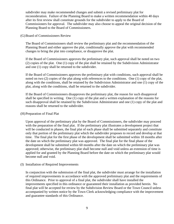subdivider may make recommended changes and submit a revised preliminary plat for reconsideration. Failure of the Planning Board to make a written recommendation within 40 days after its first review shall constitute grounds for the subdivider to apply to the Board of Commissioners for approval. The subdivider may also choose to appeal the original decision of the Planning Board to the Board of Commissioners.

(G)Board of Commissioners Review

The Board of Commissioners shall review the preliminary plat and the recommendation of the Planning Board and either approve the plat, conditionally approve the plat with recommended changes to bring the plat into compliance, or disapprove the plat.

If the Board of Commissioners approves the preliminary plat, such approval shall be noted on two (2) copies of the plat. One (1) copy of the plat shall be retained by the Subdivision Administrator and one (1) copy shall be returned to the subdivider.

If the Board of Commissioners approves the preliminary plat with conditions, such approval shall be noted on two (2) copies of the plat along with references to the conditions. One (1) copy of the plat, along with the conditions, shall be retained by the Subdivision Administrator and one (1) copy of the plat, along with the conditions, shall be returned to the subdivider.

If the Board of Commissioners disapproves the preliminary plat, the reason for such disapproval shall be specified in writing. One (1) copy of the plat and a written explanation of the reasons for such disapproval shall be retained by the Subdivision Administrator and one (1) copy of the plat and reasons shall be returned to the subdivider.

#### (H)Preparation of Final Plat

Upon approval of the preliminary plat by the Board of Commissioners, the subdivider may proceed with the preparation of the final plat. If the preliminary plat illustrates a development project that will be conducted in phases, the final plat of each phase shall be submitted separately and constitute only that portion of the preliminary plat which the subdivider proposes to record and develop at that time. The final plat for the first phase of the development shall be submitted within 18 months after the date on which the preliminary plat was approved. The final plat for the final phase of the development shall be submitted within 60 months after the date on which the preliminary plat was approved; otherwise, the preliminary plat shall become null and void unless an extension of time is applied for and granted by the Planning Board before the date on which the preliminary plat would become null and void.

#### (I) Installation of Required Improvements

In conjunction with the submission of the final plat, the subdivider must arrange for the installation of required improvements in accordance with the approved preliminary plat and the requirements of this Ordinance. Prior to approval of a final plat, the subdivider shall have installed the improvements specified in this ordinance or guaranteed their installation as provided herein. No final plat will be accepted for review by the Subdivision Review Board or the Town Council unless accompanied by written notice by the Town Clerk acknowledging compliance with the improvement and guarantee standards of this Ordinance.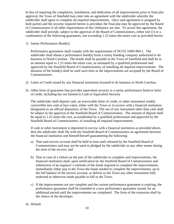In lieu of requiring the completion, installation, and dedication of all improvements prior to final plat approval, the Town of Stanfield may enter into an agreement with the subdivider whereby the subdivider shall agree to complete all required improvements. Once said agreement is assigned by both parties and the security required herein is provided, the final plat may be approved by the Board of Commissioners if all other requirements of this Ordinance are met. To secure this agreement, the subdivider shall provide, subject to the approval of the Board of Commissioners, either one (1) or a combination of the following guarantees, not exceeding 1.25 times the entire cost as provided herein:

1) Surety Performance Bond(s)

Performance guarantees shall comply with the requirements of NCGS 160D-804.1. The subdivider shall obtain a performance bond(s) from a surety bonding company authorized to do business in North Carolina. The bonds shall be payable to the Town of Stanfield and shall be in an amount equal to 1.25 times the entire cost, as estimated by a qualified professional and approved by the Stanfield Board of Commissioners, of installing all required improvements. The duration of the bond(s) shall be until such time as the improvements are accepted by the Board of Commissioners.

- 2) Letter of Credit issued by any financial institution licensed to do business in North Carolina.
- 3) Other form of guarantee that provides equivalent security to a surety performance bond or letter of credit, including but not limited to Cash or Equivalent Security

The subdivider shall deposit cash, an irrevocable letter of credit, or other instrument readily convertible into cash at face value, either with the Town or in escrow with a financial institution designated as an official depository of the Town. The use of any instrument other than cash shall be subject to the approval of the Stanfield Board of Commissioners. The amount of deposit shall be equal to 1.25 times the cost, as established by a qualified professional and approved by the Stanfield Board of Commissioners, of installing all required improvements.

If cash or other instrument is deposited in escrow with a financial institution as provided above, then the subdivider shall file with the Stanfield Board of Commissioners an agreement between the financial institution and himself/herself guaranteeing the following:

- a) That said escrow account shall be held in trust until released by the Stanfield Board of Commissioners and may not be used or pledged by the subdivider in any other matter during the term of the escrow; and
- b) That in case of a failure on the part of the subdivider to complete said improvements, the financial institution shall, upon notification by the Stanfield Board of Commissioners and submission of an engineer's estimate of the funds required to complete the improvements, immediately either pay to the Town the funds needed to complete the improvements, up to the full balance of the escrow account, or deliver to the Town any other instrument fully endorsed or otherwise made payable in full to the Town.
- c) If the improvements are not complete and the current performance guarantee is expiring, the performance guarantee shall be extended or a new performance guarantee issued, for an additional period until the improvements are completed. The form of the extension shall by the choice of the developer.
- 4) Default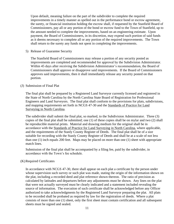Upon default, meaning failure on the part of the subdivider to complete the required improvements in a timely manner as spelled out in the performance bond or escrow agreement, the surety, or financial institution holding the escrow shall, if requested by the Stanfield Board of Commissioners, pay all or any portion of the bond or escrow fund to the Town of Stanfield, up to the amount needed to complete the improvements, based on an engineering estimate. Upon payment, the Board of Commissioners, in its discretion, may expend such portion of said funds as it deems necessary to complete all or any portion of the required improvements. The Town shall return to the surety any funds not spent in completing the improvements.

#### 5) Release of Guarantee Security

The Stanfield Board of Commissioners may release a portion of any security posted as improvements are completed and recommended for approval by the Subdivision Administrator. Within 45 days after receiving the Subdivision Administrator's recommendation, the Board of Commissioners shall approve or disapprove said improvements. If the Board of Commissioners approves said improvements, then it shall immediately release any security posted on that portion.

#### (J) Submission of Final Plat

The final plat shall be prepared by a Registered Land Surveyor currently licensed and registered in the State of North Carolina by the North Carolina State Board of Registration for Professional Engineers and Land Surveyors. The final plat shall conform to the provisions for plats, subdivisions, and mapping requirements set forth in NCGS 47-30 and the Standards of Practice for Land Surveying in North Carolina.

The subdivider shall submit the final plat, so marked, to the Subdivision Administrator. Three (3) copies of the final plat shall be submitted; one (1) of these copies shall be on mylar and two (2) shall be reproducible material prints. Material and drawing medium for the original shall be in accordance with the Standards of Practice for Land Surveying in North Carolina, where applicable, and the requirements of the Stanly County Register of Deeds. The final plat shall be of a size suitable for recording with the Stanly County Register of Deeds and shall be at a scale of not less than one (1) inch equals 200 feet. Maps may be placed on more than one (1) sheet with appropriate match lines.

Submission of the final plat shall be accompanied by a filing fee, paid by the subdivider, in accordance with the Town's fee schedule.

#### (K)Required Certificates

In accordance with NCGS 47-30, there shall appear on each plat a certificate by the person under whose supervision such survey or such plat was made, stating the origin of the information shown on the plat, including a recorded deed and plat reference shown thereon. The ratio of precision as calculated by latitudes and departures before any adjustments must be shown. Any lines on the plat that were not actually surveyed must be clearly indicated and a statement included revealing the source of information. The execution of such certificate shall be acknowledged before any Officer authorized to take acknowledgments by the Registered Land Surveyor preparing the plat. All plats to be recorded shall be probated as required by law for the registration of deeds. Where a plat consists of more than one (1) sheet, only the first sheet must contain certification and all subsequent sheets must be signed and sealed.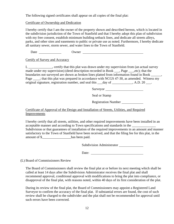The following signed certificates shall appear on all copies of the final plat:

Certificate of Ownership and Dedication

I hereby certify that I am the owner of the property shown and described hereon, which is located in the subdivision jurisdiction of the Town of Stanfield and that I hereby adopt this plan of subdivision with my free consent, establish minimum building setback lines, and dedicate all streets alleys, parks, and other sites and easements to public or private use as noted. Furthermore, I hereby dedicate all sanitary sewer, storm sewer, and water lines to the Town of Stanfield.

Date Owner

Certify of Survey and Accuracy

I, \_\_\_\_\_\_\_\_\_\_\_\_, certify that this plat was drawn under my supervision from (an actual survey made under my supervision) (deed description recorded in Book \_\_\_, Page \_\_\_,etc); that the boundaries not surveyed are shown as broken lines platted from information found in Book \_\_\_\_ Page \_\_\_\_; that this plat was prepared in accordance with NCGS 47-30, as amended. Witness my original signature, registration number, and seal this \_\_\_day of \_\_\_\_\_\_\_\_\_\_, A.D. 20 \_\_\_.

Surveyor

Seal or Stamp

Registration Number

Certificate of Approval of the Design and Installation of Streets, Utilities, and Required Improvements

I hereby certify that all streets, utilities, and other required improvements have been installed in an acceptable manner and according to Town specifications and standards in the Subdivision or that guarantees of installation of the required improvements in an amount and manner satisfactory to the Town of Stanfield have been received, and that the filing fee for this plat, in the amount of \$ has been paid.

Subdivision Administrator

Date:

(L) Board of Commissioners Review

The Board of Commissioners shall review the final plat at or before its next meeting which shall be called at least 14 days after the Subdivision Administrator receives the final plat and shall recommend approval, conditional approval with modifications to bring the plat into compliance, or disapproval of the final plat, with reasons noted, within 40 days of its first consideration of the plat.

During its review of the final plat, the Board of Commissioners may appoint a Registered Land Surveyor to confirm the accuracy of the final plat. If substantial errors are found, the cost of such review shall be charged to the subdivider and the plat shall not be recommended for approval until such errors have been corrected.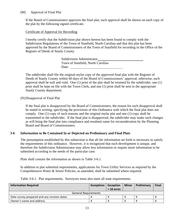## (M) Approval of Final Plat

If the Board of Commissioners approves the final plat, such approval shall be shown on each copy of the plat by the following signed certificate.

## Certificate of Approval for Recording

I hereby certify that the Subdivision plat shown hereon has been found to comply with the Subdivision Regulations of the Town of Stanfield, North Carolina and that this plat has been approved by the Board of Commissioners of the Town of Stanfield for recording in the Office of the Register of Deeds of Stanly County.

> Subdivision Administrator Town of Stanfield, North Carolina Date:

The subdivider shall file the original mylar copy of the approved final plat with the Register of Deeds of Stanly County within 60 days of the Board of Commissioners' approval; otherwise, such approval shall be null and void. One (1) print of the plat shall be retained by the subdivider, one (1) print shall be kept on file with the Town Clerk, and one (1) print shall be sent to the appropriate Stanly County department.

## (N)Disapproval of Final Plat

If the final plat is disapproved by the Board of Commissioners, the reason for such disapproval shall be stated in writing, specifying the provisions of this Ordinance with which the final plat does not comply. One (1) copy of such reasons and the original mylar plat and one (1) copy shall be transmitted to the subdivider. If the final plat is disapproved, the subdivider may make such changes as will bring the final plat into compliance and resubmit same for reconsideration by the Planning Board and Board of Commissioners.

## **3-6 Information to Be Contained In or Depicted on Preliminary and Final Plats**

The presumption established by this subsection is that all the information set forth is necessary to satisfy the requirements of this ordinance. However, it is recognized that each development is unique, and therefore the Subdivision Administrator may allow less information or require more information to be submitted according to the needs of the particular case.

Plats shall contain the information as shown in Table 3-6.1.

In addition to plat submittal requirements, applications for Town Utility Services as required by the Comprehensive Water & Sewer Policies, as amended, shall be submitted where required.

Table 3-6.1. Plat requirements. Surveyors must also meet all state requirements.

| <b>Information Required</b>                 | <b>Exceptions</b>   Exception |              | Minor | Preliminary | <b>Final</b> |
|---------------------------------------------|-------------------------------|--------------|-------|-------------|--------------|
|                                             |                               | $<$ 10 acres |       |             |              |
| <b>General Requirements</b>                 |                               |              |       |             |              |
| Date survey prepared and any revision dates |                               |              |       |             |              |
| Owner's name and address                    |                               |              |       |             |              |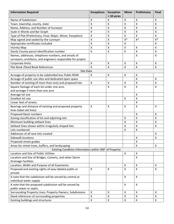| <b>Information Required</b>                                  | <b>Exceptions</b>         | <b>Exception</b><br>$<$ 10 acres | <b>Minor</b>       | Preliminary               | <b>Final</b>       |
|--------------------------------------------------------------|---------------------------|----------------------------------|--------------------|---------------------------|--------------------|
| Name of Subdivision                                          | X                         | X                                | X                  | X                         | X                  |
| Town, township, county, state                                | $\mathsf{\chi}$           | x                                | Χ                  | Χ                         | $\pmb{\mathsf{X}}$ |
| Name, Address, and Number of Surveyor                        | $\mathsf{\chi}$           | X                                | $\pmb{\mathsf{X}}$ | $\boldsymbol{\mathsf{X}}$ | $\pmb{\mathsf{X}}$ |
| Scale in Words and Bar Graph                                 | $\mathsf{\chi}$           | X                                | X                  | $\mathsf{\chi}$           | $\mathsf{X}$       |
| Type of Plat (Preliminary, Final, Major, Minor, Exception)   | $\mathsf{\chi}$           | Χ                                | Χ                  | $\sf X$                   | $\pmb{\mathsf{X}}$ |
| Map signed and sealed by the surveyor                        | $\mathsf{\chi}$           | $\pmb{\mathsf{X}}$               | $X^*$              | $X^*$                     | $X^*$              |
| Appropriate certificates included                            | $\overline{\mathsf{x}}$   | X                                | X                  |                           | $\mathsf X$        |
| <b>Vicinity Map</b>                                          | $\mathsf{\chi}$           | X                                | Χ                  | X                         | $\mathsf{X}$       |
| Stanly County parcel identification number                   | $\mathsf{\chi}$           | X                                | X                  | $\mathsf{\chi}$           | $\mathsf{X}$       |
| Names, addresses, telephone numbers, and emails of           |                           |                                  |                    | $\mathsf{\chi}$           | $\pmb{\mathsf{X}}$ |
| surveyors, architects, and engineers responsible for project |                           |                                  |                    |                           |                    |
| Corporate limits                                             | $\mathsf{X}$              | X                                | X                  | X                         | X                  |
| Plat Book /Deed Book References                              | $\overline{\mathsf{x}}$   | $\pmb{\mathsf{X}}$               | $\pmb{\mathsf{X}}$ | $\boldsymbol{\mathsf{X}}$ | $\mathsf{X}$       |
| Site Data                                                    |                           |                                  |                    |                           |                    |
| Acreage of property to be subdivided less Public ROW         | X                         | $\mathsf{X}$                     | X                  | $\boldsymbol{\mathsf{X}}$ |                    |
| Acreage of public use sites and dedicated open space         |                           |                                  |                    | X                         | $\mathsf{X}$       |
| Number of existing (if more than one) and proposed lots      | X                         | Χ                                | Χ                  | $\boldsymbol{\mathsf{X}}$ | $\pmb{\mathsf{X}}$ |
| Square footage of each lot under one acre,                   |                           | X                                | X                  | $\mathsf{\chi}$           | $\pmb{\mathsf{X}}$ |
| and acreage if more than one acre                            |                           |                                  |                    |                           |                    |
| Average lot size                                             |                           |                                  |                    | $\boldsymbol{\mathsf{X}}$ |                    |
| Smallest lot size                                            |                           |                                  | X                  | $\mathsf{\chi}$           |                    |
| Linear feet of streets                                       |                           |                                  |                    | $\mathsf{\chi}$           |                    |
| Bearings and distance of existing and proposed property      | $\boldsymbol{\mathsf{X}}$ | X                                | X                  | $\mathsf{\chi}$           | $\pmb{\times}$     |
| lines (label old lines)                                      |                           |                                  |                    |                           |                    |
| Proposed block numbers                                       |                           |                                  |                    | X                         | X                  |
| Zoning classification of lot and adjoining lots              |                           |                                  | Χ                  | X                         | $\mathsf{X}$       |
| Minimum building setback lines                               |                           |                                  | Χ                  | $\boldsymbol{\mathsf{X}}$ | $\pmb{\mathsf{X}}$ |
| Setback lines shown within irregularly shaped lots           |                           |                                  | X                  | $\mathsf{\chi}$           | $\pmb{\mathsf{X}}$ |
| Lots numbered                                                |                           |                                  | X                  | $\boldsymbol{\mathsf{X}}$ |                    |
| Addresses of all new lots created                            |                           |                                  |                    |                           | X                  |
| <b>Sidewalk locations</b>                                    |                           |                                  |                    | Χ                         | X                  |
| Proposed street grades                                       |                           |                                  |                    | $\boldsymbol{\mathsf{X}}$ |                    |
| Areas for street trees, buffers, and landscaping             |                           |                                  |                    | X                         | X                  |
| Existing Condition Information within 300' of Property       |                           |                                  |                    |                           |                    |
| Location and Size of Public Utilities                        |                           |                                  | $\pmb{\mathsf{X}}$ | $\pmb{\mathsf{X}}$        |                    |
| Location and Size of Bridges, Culverts, and other Storm      |                           |                                  |                    | X                         |                    |
| <b>Drainage Facilities</b>                                   |                           |                                  |                    |                           |                    |
| Location, Width and Purpose of all Easements                 |                           |                                  | X                  | $\pmb{\times}$            | X                  |
| Proposed and existing rights-of-way labeled public or        | $\mathsf{x}$              | $\pmb{\mathsf{X}}$               | X                  | $\mathsf{X}$              | $\mathsf{X}$       |
| private                                                      |                           |                                  |                    |                           |                    |
| A note that the subdivision will be served by central or     |                           |                                  | X                  | $\mathsf{X}$              |                    |
| individual water supply                                      |                           |                                  |                    |                           |                    |
| A note that the proposed subdivision will be served by       |                           |                                  | X                  | $\mathsf{X}$              |                    |
| public sewer or septic                                       |                           |                                  |                    |                           |                    |
| Surrounding Property Lines, Property Owners, Subdivisions    | X                         | X                                | X                  | $\mathsf{X}$              | X                  |
| Deed references of surrounding properties                    | $\mathsf{\chi}$           | $\pmb{\mathsf{X}}$               | Χ                  | $\boldsymbol{\mathsf{X}}$ | $\pmb{\mathsf{X}}$ |
| Existing buildings and structures                            | $\pmb{\mathsf{X}}$        | Χ                                | Χ                  | $\pmb{\mathsf{X}}$        | X                  |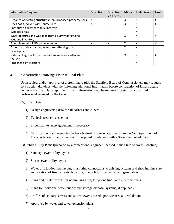| <b>Information Required</b>                                  | <b>Exceptions</b> | <b>Exception</b> | <b>Minor</b>              | Preliminary | <b>Final</b> |
|--------------------------------------------------------------|-------------------|------------------|---------------------------|-------------|--------------|
|                                                              |                   | $<$ 10 acres     |                           |             |              |
| Distance of existing structures from proposed property lines | X                 | X                | X                         | х           | χ            |
| Lines not surveyed with source data                          | x                 | x                | x                         | x           | X            |
| Contours no greater than 5' intervals                        |                   |                  |                           | X           |              |
| Wooded areas                                                 |                   |                  |                           | x           |              |
| Water features and wetlands from a survey or National        |                   |                  | X                         | X           | χ            |
| <b>Wetland Inventory</b>                                     |                   |                  |                           |             |              |
| Floodplains with FIRM panel number                           | x                 | X                | X                         | х           | x            |
| Other natural or manmade features affecting site             |                   |                  | X                         | x           |              |
| development                                                  |                   |                  |                           |             |              |
| National Register Properties with names on or adjacent to    |                   |                  | $\boldsymbol{\mathsf{X}}$ | X           | χ            |
| the site                                                     |                   |                  |                           |             |              |
| Proposed sign locations                                      |                   |                  |                           | х           |              |

## **3-7 Construction Drawings Prior to Final Plats**

Upon review and/or approval of a preliminary plat, the Stanfield Board of Commissioners may request construction drawings with the following additional information before construction of infrastructure begins and a final plat is approved. Such information may be reviewed by staff or a qualified professional retained by the town.

## (A)Street Data

- 1) Design engineering data for all corners and curves
- 2) Typical street cross-section
- 3) Street maintenance agreement, if necessary
- 4) Certification that the subdivider has obtained driveway approval from the NC Department of Transportation for any street that is proposed to intersect with a State maintained road

(B) Public Utility Plans (prepared by a professional engineer licensed in the State of North Carolina)

- 1) Sanitary sewer utility layout
- 2) Storm sewer utility layout
- 3) Water distribution line layout, illustrating connections to existing systems and showing line size, and location of fire hydrants, blowoffs, manholes, force mains, and gate valves
- 4) Plans and utility layouts for natural gas lines, telephone lines, and electrical lines
- 5) Plans for individual water supply and sewage disposal systems, if applicable
- 6) Profiles of sanitary sewers and storm sewers, based upon Mean Sea Level datum
- 7) Approved by water and sewer extension plans.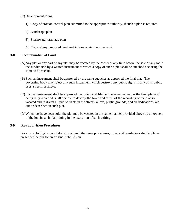## (C) Development Plans

- 1) Copy of erosion control plan submitted to the appropriate authority, if such a plan is required
- 2) Landscape plan
- 3) Stormwater drainage plan
- 4) Copy of any proposed deed restrictions or similar covenants

## **3-8 Recombination of Land**

- (A)Any plat or any part of any plat may be vacated by the owner at any time before the sale of any lot in the subdivision by a written instrument to which a copy of such a plat shall be attached declaring the same to be vacant.
- (B) Such an instrument shall be approved by the same agencies as approved the final plat. The governing body may reject any such instrument which destroys any public rights in any of its public uses, streets, or alleys.
- (C) Such an instrument shall be approved, recorded, and filed in the same manner as the final plat and being duly recorded, shall operate to destroy the force and effect of the recording of the plat so vacated and to divest all public rights in the streets, alleys, public grounds, and all dedications laid out or described in such plat.
- (D)When lots have been sold, the plat may be vacated in the same manner provided above by all owners of the lots in such plat joining in the execution of such writing.

## **3-9 Re-subdivision Procedures**

For any replotting or re-subdivision of land, the same procedures, rules, and regulations shall apply as prescribed herein for an original subdivision.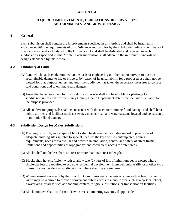## **ARTICLE 4**

#### **REQUIRED IMPROVEMENTS, DEDICATIONS, RESERVATIONS, AND MINIMUM STANDARDS OF DESIGN**

#### **4-1 General**

Each subdivision shall contain the improvements specified in this Article and shall be installed in accordance with the requirements of this Ordinance and paid for by the subdivider unless other means of financing are specifically stated in the Ordinance. Land shall be dedicated and reserved in each subdivision as specified in this Article. Each subdivision shall adhere to the minimum standards of design established by this Article.

#### **4-2 Suitability of Land**

- (A)Land which has been determined on the basis of engineering or other expert surveys to pose an ascertainable danger to life or property by reason of its unsuitability for a proposed use shall not be plotted for that purpose, unless and until the subdivider has taken the necessary measures to correct said conditions and to eliminate said dangers.
- (B) Areas that have been used for disposal of solid waste shall not be eligible for platting of a subdivision unless tests by the Stanly County Health Department determine the land is suitable for the purpose provided.
- (C) All subdivision proposals shall be consistent with the need to minimize flood damage and shall have public utilities and facilities such as sewer, gas, electrical, and water systems located and constructed to minimize flood damage.

#### **4-3 Subdivision Design for Major Subdivisions**

- (A)The lengths, width, and shapes of blocks shall be determined with due regard to provisions of adequate building sites suitable to special needs of the type of use contemplated, zoning requirements, needs for vehicular and pedestrian circulation, control and safety of street traffic, limitations and opportunities of topography; and convenient access to water areas.
- (B) Blocks shall not be less than 400 feet or more than 1800 feet in length.
- (C) Blocks shall have sufficient width to allow two (2) tiers of lots of minimum depth except where single-tier lots are required to separate residential development from vehicular traffic or another type of use, in a nonresidential subdivision, or where abutting a water area.
- (D)Where deemed necessary by the Board of Commissioners, a pedestrian crosswalk at least 15 feet in width may be required to provide convenient public access to a public area such as a park or school, a water area, or areas such as shopping centers, religious institutions, or transportation facilities.
- (E) Block numbers shall conform to Town streets numbering systems, if applicable.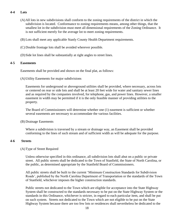## **4-4 Lots**

- (A)All lots in new subdivisions shall conform to the zoning requirements of the district in which the subdivision is located. Conformance to zoning requirements means, among other things, that the smallest lot in the subdivision must meet all dimensional requirements of the Zoning Ordinance. It is not sufficient merely for the average lot to meet zoning requirements.
- (B) Lots shall meet any applicable Stanly County Health Department requirements.
- (C) Double frontage lots shall be avoided wherever possible.
- (D)Side lot lines shall be substantially at right angles to street lines.

#### **4-5 Easements**

Easements shall be provided and shown on the final plat, as follows:

(A)Utility Easements for major subdivisions

Easements for underground or aboveground utilities shall be provided, where necessary, across lots or centered on rear or side lots and shall be at least 20 feet wide for water and sanitary sewer lines and as required by the companies involved, for telephone, gas, and power lines. However, a smaller easement in width may be permitted if it is the only feasible manner of providing utilities to the property.

The Board of Commissioners will determine whether one (1) easement is sufficient or whether several easements are necessary to accommodate the various facilities.

(B) Drainage Easements

Where a subdivision is traversed by a stream or drainage way, an Easement shall be provided conforming to the lines of such stream and of sufficient width as will be adequate for the purpose.

#### **4-6 Streets**

#### (A)Type of Street Required

Unless otherwise specified in this ordinance, all subdivision lots shall abut on a public or private street. All public streets shall be dedicated to the Town of Stanfield, the State of North Carolina, or the public, as determined appropriate by the Stanfield Board of Commissioners.

All public streets shall be built to the current 'Minimum Construction Standards for Subdivision Roads', published by the North Carolina Department of Transportation or the standards of the Town of Stanfield, whichever imposes the higher construction standards.

Public streets not dedicated to the Town which are eligible for acceptance into the State Highway System shall be constructed to the standards necessary to be put on the State Highway System or the standards in this Ordinance, whichever is stricter, in regard to each particular item, and shall be put on such system. Streets not dedicated to the Town which are not eligible to be put on the State Highway System because there are too few lots or residences shall nevertheless be dedicated to the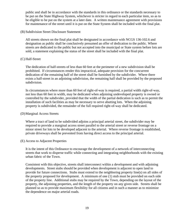public and shall be in accordance with the standards in this ordinance or the standards necessary to be put on the State Highway System, whichever is stricter in regard to each particular item, so as to be eligible to be put on the system at a later date. A written maintenance agreement with provisions for maintenance of the street until it is put on the State System shall be included with the final plat.

#### (B) Subdivision Street Disclosure Statement

All streets shown on the final plat shall be designated in accordance with NCGS 136-102.6 and designation as public shall be conclusively presumed an offer of dedication to the public. Where streets are dedicated to the public but not accepted into the municipal or State system before lots are sold, a statement explaining the status of the street shall be included with the final plat.

#### (C) Half-Street

The dedication of half-streets of less than 60 feet at the perimeter of a new subdivision shall be prohibited. If circumstances render this impractical, adequate provision for the concurrent dedication of the remaining half of the street shall be furnished by the subdivider. Where there exists a half-street in an adjoining subdivision, the remaining half shall be provided by the proposed subdivision.

In circumstances where more than 60 feet of right-of-way is required, a partial width right-of-way, not less than 60 feet in width, may be dedicated when adjoining undeveloped property is owned or controlled by the subdivider, provided that the width of the partial dedication is such as to permit the installation of such facilities as may be necessary to serve abutting lots. When the adjoining property is subdivided, the remainder of the full required right-of-way shall be dedicated.

#### (D)Marginal Access Streets

Where a tract of land to be subdivided adjoins a principal arterial street, the subdivider may be required to provide a marginal access street parallel to the arterial street or reverse frontage on a minor street for lots to be developed adjacent to the arterial. Where reverse frontage is established, private driveways shall be prevented from having direct access to the principal arterial.

#### (E) Access to Adjacent Properties

It is the intent of this Ordinance to encourage the development of a network of interconnecting streets that work to disperse traffic while connecting and integrating neighborhoods with the existing urban fabric of the Town.

Consistent with this objective, streets shall interconnect within a development and with adjoining developments. Street stubs should be provided when development is adjacent to open land to provide for future connections. Stubs must extend to the neighboring property line(s) on all sides of the property proposed for development. A minimum of one (1) stub must be provided on each side of the property line. Additional stubs may be required by the Town, depending on the layout of the property, the adjoining properties, and the length of the property on any given side. Streets shall be planned so as to provide maximum flexibility for all citizens and in such a manner as to minimize the dependence on major arterial roads.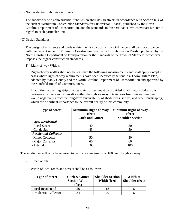## (F) Nonresidential Subdivision Streets

The subdivider of a nonresidential subdivision shall design streets in accordance with Section K-4 of the current 'Minimum Construction Standards for Subdivision Roads', published by the North Carolina Department of Transportation, and the standards in this Ordinance, whichever are stricter in regard to each particular item.

## (G)Design Standards

The design of all streets and roads within the jurisdiction of this Ordinance shall be in accordance with the current issue of 'Minimum Construction Standards for Subdivision Roads', published by the North Carolina Department of Transportation or the standards of the Town of Stanfield, whichever imposes the higher construction standards.

1) Right-of-way Widths

Right-of-way widths shall not be less than the following measurements and shall apply except in cases where right-of-way requirements have been specifically set out in a Thoroughfare Plan, adopted by Stanly County and the North Carolina Department of Transportation and approved by the Stanfield Board of Commissioners.

In addition, a planting strip of at least six (6) feet must be provided in all major subdivisions between all streets and sidewalks within the right-of-way. Deviations from this requirement would negatively affect the long-term survivability of shade trees, shrubs, and other landscaping, which are of critical importance to the overall beauty of this community.

| <b>Type of Street</b>        | <b>Minimum Right-of-Way</b> | <b>Minimum Right-of-Way</b> |
|------------------------------|-----------------------------|-----------------------------|
|                              | (feet)                      | (feet)                      |
|                              | <b>Curb and Gutter</b>      | <b>Shoulder Section</b>     |
| <b>Local Residential</b>     |                             |                             |
| -Local Street                | 40                          | 50                          |
| -Cul de Sac                  | 45                          | 50                          |
| <b>Residential Collector</b> |                             |                             |
| -Minor Collector             | 50                          | 50                          |
| -Major Collector             | 60                          | 60                          |
| -Arterial                    | 100                         | 100                         |

The subdivider will only be required to dedicate a maximum of 100 feet of right-of-way.

## 2) Street Width

Width of local roads and streets shall be as follows:

| <b>Type of Street</b>        | <b>Curb &amp; Gutter</b><br><b>Section Width</b><br>(feet) | <b>Shoulder Section</b><br>Width (feet) | Width of<br><b>Shoulder</b> (feet) |
|------------------------------|------------------------------------------------------------|-----------------------------------------|------------------------------------|
| Local Residential            | 26                                                         |                                         |                                    |
| <b>Residential Collector</b> | 34                                                         |                                         |                                    |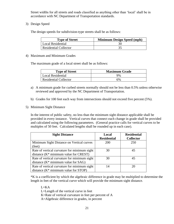Street widths for all streets and roads classified as anything other than 'local' shall be in accordance with NC Department of Transportation standards.

3) Design Speed

The design speeds for subdivision-type streets shall be as follows:

| <b>Type of Street</b>        | <b>Minimum Design Speed (mph)</b> |
|------------------------------|-----------------------------------|
| Local Residential            |                                   |
| <b>Residential Collector</b> |                                   |

#### 4) Maximum and Minimum Grades

The maximum grade of a local street shall be as follows:

| <b>Type of Street</b>        | <b>Maximum Grade</b> |  |
|------------------------------|----------------------|--|
| Local Residential            | 9%                   |  |
| <b>Residential Collector</b> | 6%                   |  |

- a) A minimum grade for curbed streets normally should not be less than 0.5% unless otherwise reviewed and approved by the NC Department of Transportation.
- b) Grades for 100 feet each way from intersections should not exceed five percent (5%).
- 5) Minimum Sight Distance

In the interest of public safety, no less than the minimum sight distance applicable shall be provided in every instance. Vertical curves that connect each change in grade shall be provided and calculated using the following parameters. (General practice calls for vertical curves to be multiples of 50 feet. Calculated lengths shall be rounded up in each case).

| <b>Sight Distance</b>                        | Local              | <b>Residential</b> |
|----------------------------------------------|--------------------|--------------------|
|                                              | <b>Residential</b> | <b>Collector</b>   |
| Minimum Sight Distance on Vertical curves    | 200                | 250                |
| (feet)                                       |                    |                    |
| Rate of vertical curvature for minimum sight | 30                 | 45                 |
| distance $(K^*$ minimum value for CREST)     |                    |                    |
| Rate of vertical curvature for minimum sight | 30                 | 45                 |
| distance $(K^*$ minimum value for SAG)       |                    |                    |
| Rate of vertical curvature for minimum sight | 14                 | 20                 |
| distance $(K^*$ minimum value for STOP)      |                    |                    |

\*K is a coefficient by which the algebraic difference in grade may be multiplied to determine the length in feet of the vertical curve which will provide the minimum sight distance.

L=KA

- L=Length of the vertical curve in feet
- K=Rate of vertical curvature in feet per percent of A
- A=Algebraic difference in grades, in percent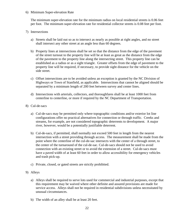#### 6) Minimum Super-elevation Rate

The minimum super-elevation rate for the minimum radius on local residential streets is 0.06 feet per foot. The minimum super-elevation rate for residential collector streets is 0.08 feet per foot.

- 7) Intersections
	- a) Streets shall be laid out so as to intersect as nearly as possible at right angles, and no street shall intersect any other street at an angle less than 60 degrees.
	- b) Property lines at intersections shall be set so that the distance from the edge of the pavement of the street turnout to the property line will be at least as great as the distance from the edge of the pavement to the property line along the intersecting street. This property line can be established as a radius or as a sight triangle. Greater offsets from the edge of pavement to the property line will be required, if necessary, to provide sight distance for the vehicle on the side street.
	- c) Offset intersections are to be avoided unless an exception is granted by the NC Division of Highways or Town of Stanfield, as applicable. Intersections that cannot be aligned should be separated by a minimum length of 200 feet between survey and center lines.
	- d) Intersections with arterials, collectors, and thoroughfares shall be at least 1000 feet from centerline to centerline, or more if required by the NC Department of Transportation.
- 8) Cul-de-sacs
	- a) Cul-de-sacs may be permitted only where topographic conditions and/or exterior lot line configurations offer no practical alternatives for connection or through traffic. Creeks and streams, for example, are not considered topographic deterrents to development. A major river, however, would be a potentially justifiable deterrent.
	- b) Cul-de-sacs, if permitted, shall normally not exceed 500 feet in length from the nearest intersection with a street providing through access. The measurement shall be made from the point where the centerline of the cul-de-sac intersects with the center of a through street, to the center of the turnaround of the cul-de-sac. Cul-de-sacs should not be used to avoid connection with an existing street or to avoid the extension of a street. Cul-de-sacs must have a paved width of at least 60 feet in order to allow accessibility for emergency vehicles and trash pick-up.
	- c) Private, closed, or gated streets are strictly prohibited.
- 9) Alleys
	- a) Alleys shall be required to serve lots used for commercial and industrial purposes, except that this requirement may be waived where other definite and assured provisions are made for service access. Alleys shall not be required in residential subdivisions unless necessitated by unusual circumstances.
	- b) The width of an alley shall be at least 20 feet.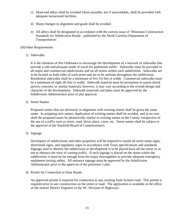- c) Dead-end alleys shall be avoided where possible, but if unavoidable, shall be provided with adequate turnaround facilities.
- d) Sharp changes in alignment and grade shall be avoided.
- e) All alleys shall be designated in accordance with the current issue of 'Minimum Construction Standards for Subdivision Roads', published by the North Carolina Department of Transportation'.

#### (H)Other Requirements

1) Sidewalks

It is the intention of this Ordinance to encourage the development of a network of sidewalks that provide a safe and pleasant mode of travel for pedestrian traffic. Sidewalks must be provided in all major and commercial subdivisions and on all streets within each subdivision. Sidewalks are to be located on both sides of each street and are to be uniform throughout the subdivision. Residential sidewalks shall be a minimum of five (5) feet in width. Commercial sidewalks must be a minimum of eight (8) feet in width. Sidewalk material must be permanent in nature (brick pavers, concrete, or similar material), however, it may vary according to the overall design and character of the development. Sidewalk materials and plans must be approved by the Subdivision Administrator prior to plat approval.

2) Street Names

Proposed streets that are obviously in alignment with existing streets shall be given the same name. In assigning new names, duplication of existing names shall be avoided, and in no case shall the proposed name be phonetically similar to existing names in the County irrespective of the use of a suffix such as street, road, drive, place, court, etc. Street names shall be subject to the approval of the Stanfield Board of Commissioners.

3) Signage

Developers of subdivisions and other properties will be required to install all street name signs, directional signs, and regulatory signs in accordance with Town specifications and standards. Signage used to identify the subdivision or development is to be placed back off the street so as not to obstruct the view of coming traffic. If such signage is placed on the street within the subdivision, it must be far enough from the major thoroughfare to provide adequate emergency equipment turning radius. All entrance signage must be approved by the Subdivision Administrator prior to the approval of the petitioner's plat.

4) Permit for Connection to State Roads

An approved permit is required for connection to any existing State System road. This permit is required prior to any construction on the street or road. The application is available at the office of the nearest District Engineer of the NC Division of Highways.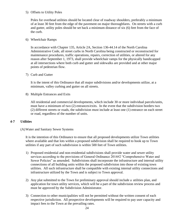## 5) Offsets to Utility Poles

Poles for overhead utilities should be located clear of roadway shoulders, preferably a minimum of at least 30 feet from the edge of the pavement on major thoroughfares. On streets with a curb and gutter, utility poles should be set back a minimum distance of six (6) feet from the face of the curb.

6) Wheelchair Ramps

In accordance with Chapter 135, Article 2A, Section 136-44.14 of the North Carolina Administrative Code, all street curbs in North Carolina being constructed or reconstructed for maintenance procedures, traffic operations, repairs, correction of utilities, or altered for any reason after September 1, 1973, shall provide wheelchair ramps for the physically handicapped at all intersections where both curb and gutter and sidewalks are provided and at other major points of pedestrian flow.

7) Curb and Gutter

It is the intent of this Ordinance that all major subdivisions and/or developments utilize, at a minimum, valley curbing and gutter on all streets.

8) Multiple Entrances and Exits

All residential and commercial developments, which include 30 or more individual parcels/units, must have a minimum of two (2) entrances/exits. In the event that the subdivision borders two (2) different streets or roads, the subdivision must include at least one (1) entrance on each street or road, regardless of the number of units.

## **4-7 Utilities**

#### (A)Water and Sanitary Sewer Systems

It is the intention of this Ordinance to ensure that all proposed developments utilize Town utilities where available and that lots within a proposed subdivision shall be required to hook up to Town utilities if any part of such subdivision is within 500 feet of Town utilities.

- 1) Proposed residential and non-residential subdivisions shall provide water and sewer utility services according to the provisions of General Ordinance 2014#2 "Comprehensive Water and Sewer Policies" as amended. Subdivisions shall incorporate the infrastructure and internal utility connections of all building units within the proposed subdivision into those of existing town utilities. All such infrastructure shall be compatible with existing internal utility connections and infrastructure utilized by the Town and is subject to Town approval.
- 2) Any plat submitted to the Town for preliminary approval should include a utilities plan, and application for town utility services, which will be a part of the subdivision review process and must be approved by the Subdivision Administrator.
- 3) Connection to other municipalities will not be permitted without the written consent of each respective jurisdiction. All prospective developments will be required to pay user capacity and impact fees to the Town at the prevailing rates.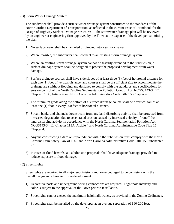## (B) Storm Water Drainage System

The subdivider shall provide a surface water drainage system constructed to the standards of the North Carolina Department of Transportation, as reflected in the current issue of 'Handbook for the Design of Highway Surface Drainage Structures'. The stormwater drainage plan will be reviewed by an engineer or engineering firm approved by the Town at the expense of the developer submitting the plan.

- 1) No surface water shall be channeled or directed into a sanitary sewer.
- 2) Where feasible, the subdivider shall connect to an existing storm drainage system.
- 3) Where an existing storm drainage system cannot be feasibly extended to the subdivision, a surface drainage system shall be designed to protect the proposed development from water damage.
- 4) Surface drainage courses shall have side slopes of at least three (3) feet of horizontal distance for each one (1) foot of vertical distance, and courses shall be of sufficient size to accommodate the drainage area without flooding and designed to comply with the standards and specifications for erosion control of the North Carolina Sedimentation Pollution Control Act, NCGS. 143-34 12, Chapter 113A, Article 4 and North Carolina Administrative Code Title 15, Chapter 4.
- 5) The minimum grade along the bottom of a surface drainage course shall be a vertical fall of at least one (1) foot in every 200 feet of horizontal distance.
- 6) Stream banks and channels downstream from any land-disturbing activity shall be protected from increased degradation due to accelerated erosion caused by increased velocity of runoff from land-disturbing activity in accordance with the North Carolina Sedimentation Pollution Act, NCGS143-34.12, Chapter 113A, Article 4 and North Carolina Administrative Code Title 15, Chapter 4.
- 7) Anyone constructing a dam or impoundment within the subdivision must comply with the North Carolina Dam Safety Law of 1967 and North Carolina Administrative Code Title 15, Subchapter 2K.
- 8) In cases of flood hazards, all subdivision proposals shall have adequate drainage provided to reduce exposure to flood damage.

#### (C) Street Lights

Streetlights are required in all major subdivisions and are encouraged to be consistent with the overall design and character of the development.

- 1) Decorative posts and underground wiring connections are required. Light pole intensity and color is subject to the approval of the Town prior to installation.
- 2) Streetlights cannot exceed the maximum height allowance, as provided in the Zoning Ordinance.
- 3) Streetlights shall be installed by the developer at an average separation of 160-200 feet.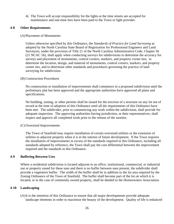4) The Town will accept responsibility for the lights at the time streets are accepted for maintenance and one-time fees have been paid to the Town or light provider.

#### **4-8 Other Requirements**

#### (A)Placement of Monuments

Unless otherwise specified by this Ordinance, the *Standards of Practice for Land Surveying* as adopted by the North Carolina State Board of Registration for Professional Engineers and Land Surveyors, under the provision of Title 21 of the North Carolina Administrative Code, Chapter 56 (21 NCAC 56), shall apply when conducting surveys for subdivisions to determine the accuracy for surveys and placement of monuments, control corners, markers, and property corner ties; to determine the location, design, and material of monuments, control corners, markers, and property corner ties, and to determine other standards and procedures governing the practice of land surveying for subdivision.

#### (B) Construction Procedures

No construction or installation of improvements shall commence in a proposed subdivision until the preliminary plat has been approved and the appropriate authorities have approved all plans and specifications.

No building, zoning, or other permits shall be issued for the erection of a structure on any lot not of record at the time of adoption of this Ordinance until all the requirements of this Ordinance have been met. The subdivider, prior to commencing any work within the subdivision, shall provide for adequate inspection. The approving authorities having jurisdiction, or their representatives, shall inspect and approve all completed work prior to the release of the sureties.

#### (C) Oversized Improvements

The Town of Stanfield may require installation of certain oversized utilities or the extension of utilities to adjacent property when it is in the interest of future development. If the Town requires the installation of improvements in excess of the standards required in this Ordinance, including all standards adopted by reference, the Town shall pay the cost differential between the improvement required and the standards in this Ordinance.

#### **4-9 Buffering Between Uses**

Where a residential subdivision is located adjacent to an office, institutional, commercial, or industrial use or property zoned for these uses and there is no buffer between uses present, the subdivider shall provide a vegetative buffer. The width of the buffer shall be in addition to the lot area required by the Zoning Ordinance of the Town of Stanfield. The buffer shall become part of the lot on which it is located, or in the case of commonly owned property, shall be deeded to the Homeowners Association.

## **4-10 Landscaping**

(A)It is the intention of this Ordinance to ensure that all major developments provide adequate landscape elements in order to maximize the beauty of the development. Quality of life is enhanced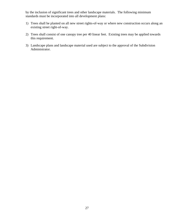by the inclusion of significant trees and other landscape materials. The following minimum standards must be incorporated into all development plans:

- 1) Trees shall be planted on all new street rights-of-way or where new construction occurs along an existing street right-of-way.
- 2) Trees shall consist of one canopy tree per 40 linear feet. Existing trees may be applied towards this requirement.
- 3) Landscape plans and landscape material used are subject to the approval of the Subdivision Administrator.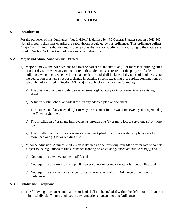## **ARTICLE 5**

## **DEFINITIONS**

#### **5-1 Introduction**

For the purposes of this Ordinance, "subdivision" is defined by NC General Statutes section 160D-802. Not all property divisions or splits are subdivisions regulated by this ordinance. This ordinance defines "major" and "minor" subdivisions. Property splits that are not subdivisions according to the statute are listed in Section 5-3. Section 5-4 contains other definitions.

## **5-2 Major and Minor Subdivisions Defined**

- 1) Major Subdivision: All divisions of a tract or parcel of land into five (5) or more lots, building sites, or other divisions when any one or more of those divisions is created for the purpose of sale or building development, whether immediate or future and shall include all divisions of land involving the dedication of a new street or a change in existing streets; excepting those splits, combinations or re-combinations listed in Section 5-3. Major subdivisions include the following:
	- a) The creation of any new public street or street right-of-way or improvements to an existing street.
	- b) A future public school or park shown in any adopted plan or document.
	- c) The extension of any needed right-of-way or easement for the water or sewer system operated by the Town of Stanfield.
	- d) The installation of drainage improvements through one (1) or more lots to serve one (1) or more lots.
	- e) The installation of a private wastewater treatment plant or a private water supply system for more than one (1) lot or building site.
- 2) Minor Subdivision: A minor subdivision is defined as one involving four (4) or fewer lots or parcels subject to the regulations of this Ordinance fronting on an existing, approved public road(s); and
	- a) Not requiring any new public road(s); and
	- b) Not requiring an extension of a public sewer collection or major water distribution line; and
	- c) Not requiring a waiver or variance from any requirement of this Ordinance or the Zoning Ordinance.

## **5-3 Subdivision Exceptions**

1) The following divisions/combinations of land shall not be included within the definition of "major or minor subdivision", nor be subject to any regulations pursuant to this Ordinance.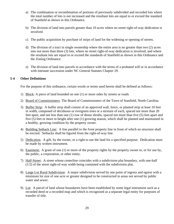- a) The combination or recombination of portions of previously subdivided and recorded lots where the total number of lots is not increased and the resultant lots are equal to or exceed the standard of Stanfield as shown in this Ordinance.
- b) The division of land into parcels greater than 10 acres where no street right-of-way dedication is involved.
- c) The public acquisition by purchase of strips of land for the widening or opening of streets.
- d) The division of a tract in single ownership where the entire area is no greater than two (2) acres into not more than three (3) lots, where no street right-of-way dedication is involved, and where the resultant lots are equal to or exceed the standards of Stanfield as shown in this Ordinance and the Zoning Ordinance.
- e) The division of land into parcels in accordance with the terms of a probated will or in accordance with intestate succession under NC General Statutes Chapter 29.

## **5-4 Other Definitions**

For the purpose of this ordinance, certain words or terms used herein shall be defined as follows:

- 1) Block: A piece of land bounded on one (1) or more sides by streets or roads
- 2) Board of Commissioners: The Board of Commissioners of the Town of Stanfield, North Carolina.
- 3) Buffer Strip: A buffer strip shall consist of an approved wall, fence, or planted strip at least 10 feet in width, composed of deciduous or evergreen trees or a mixture of each, spaced not more than 20 feet apart, and not less than one (1) row of dense shrubs, spaced not more than five (5) feet apart and five (5) feet or more in height after one (1) growing season, which shall be planted and maintained in a healthy, growing condition by the property owner.
- 4) Building Setback Line: A line parallel to the front property line in front of which no structure shall be erected. Setbacks shall be figured from the right-of-way line.
- 5) Dedication. A gift, by the owner, or a right to use the land for a specified purpose. Dedication must be made by written instrument.
- 6) Easement: A grant of one (1) or more of the property rights by the property owner to, or for use by, the public, a corporation, or other entity.
- 7) Half-Street: A street whose centerline coincides with a subdivision plat boundary, with one-half (1/2) of the street right-of-way width being contained with the subdivision plat.
- 8) Large Lot Rural Subdivision: A major subdivision served by one point of ingress and egress with a minimum lot size of one acre or greater designed to be constructed in areas not served by public water and sewer.
- 9) Lot: A parcel of land whose boundaries have been established by some legal instrument such as a recorded deed or a recorded map and which is recognized as a separate legal entity for purposes of transfer of title.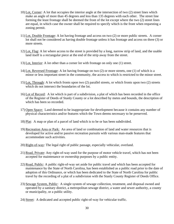- 10) Lot, Corner: A lot that occupies the interior angle at the intersection of two (2) street lines which make an angle of more than 45 degrees and less than 135 degrees with each other. The street line forming the least frontage shall be deemed the front of the lot except where the two (2) street lines are equal, in which case the owner shall be required to specify which is the front when requesting a zoning permit.
- 11) Lot, Double Frontage: A lot having frontage and access on two (2) or more public streets. A corner lot shall not be considered as having double frontage unless it has frontage and access on three (3) or more streets.
- 12) Lot, Flag: A lot where access to the street is provided by a long, narrow strip of land, and the usable land itself is a rectangular piece at the end of the strip away from the street.
- 13) Lot, Interior: A lot other than a corner lot with frontage on only one (1) street.
- 14) Lot, Reversed Frontage: A lot having frontage on two (2) or more streets, one (1) of which is a minor or less important street in the community, the access to which is restricted to the minor street.
- 15) Lot, Through: A lot which fronts upon two (2) parallel streets, or which fronts upon two (2) streets which do not intersect the boundaries of the lot.
- 16) Lot of Record: A lot which is part of a subdivision, a plat of which has been recorded in the office of the Register of Deeds of Stanly County or a lot described by metes and bounds, the description of which has been so recorded.
- 17) Open Space: Land deemed to be inappropriate for development because it contains any number of physical characteristics and/or features which the Town deems necessary to be preserved.
- 18) Plat: A map or plan of a parcel of land which is to be or has been subdivided.
- 19) Recreation Area or Park: An area of land or combination of land and water resources that is developed for active and/or passive recreation pursuits with various man-made features that accommodate such activities.
- 20) Right-of-way: The legal right of public passage, especially vehicular, overland.
- 21) Road, Private: Any right-of-way used for the purpose of motor vehicle travel, which has not been accepted for maintenance or ownership purposes by a public entity.
- 22) Road, Public: A public right-of-way set aside for public travel and which has been accepted for maintenance by the State of North Carolina, has been established as a public road prior to the date of adoption of this Ordinance, or which has been dedicated to the State of North Carolina for public travel by the recording of a plat of a subdivision with the Stanly County Register of Deeds Office.
- 23) Sewage System, Public: A single system of sewage collection, treatment, and disposal owned and operated by a sanitary district, a metropolitan sewage district, a water and sewer authority, a county or municipality, or a public utility.
- 24) Street: A dedicated and accepted public right-of-way for vehicular traffic.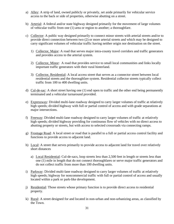- a) Alley: A strip of land, owned publicly or privately, set aside primarily for vehicular service access to the back or side of properties, otherwise abutting on a street.
- b) Arterial: A federal and/or state highway designed primarily for the movement of large volumes of vehicular traffic from one (1) area or region to another; a thoroughfare.
- c) Collector: A public way designed primarily to connect minor streets with arterial streets and/or to provide direct connection between two (2) or more arterial streets and which may be designed to carry significant volumes of vehicular traffic having neither origin nor destination on the street.
	- 1) Collector, Major: A road that serves major intra-county travel corridors and traffic generators and provides access to the arterial system.
	- 2) Collector, Minor: A road that provides service to small local communities and links locally important traffic generators with their rural hinterland.
	- 3) Collector, Residential: A local access street that serves as a connector street between local residential streets and the thoroughfare system. Residential collector streets typically collect traffic from 100 to 400 dwelling units.
- d) Cul-de-sac: A short street having one (1) end open to traffic and the other end being permanently terminated and a vehicular turnaround provided.
- e) Expressway: Divided multi-lane roadway designed to carry larger volumes of traffic at relatively high speeds; divided highway with full or partial control of access and with grade separations at major intersections.
- f) Freeway: Divided multi-lane roadway designed to carry larger volumes of traffic at relatively high speeds; divided highway providing for continuous flow of vehicles with no direct access to abutting property or streets, but with access to selected crossroads via connecting ramps.
- g) Frontage Road: A local street or road that is parallel to a full or partial access control facility and functions to provide access to adjacent land.
- h) Local: A street that serves primarily to provide access to adjacent land for travel over relatively short distances
	- a) Local Residential: Cul-de-sacs, loop streets less than 2,500 feet in length or streets less than one (1) mile in length that do not connect thoroughfares or serve major traffic generators and do not collect traffic from more than 100 dwelling units.
- i) Parkway: Divided multi-lane roadway designed to carry larger volumes of traffic at relatively high speeds; highway for noncommercial traffic with full or partial control of access and usually located within a park or park-like development.
- j) Residential: Those streets whose primary function is to provide direct access to residential property.
- k) Rural: A street designed for and located in non-urban and non-urbanizing areas, as classified by the Town.